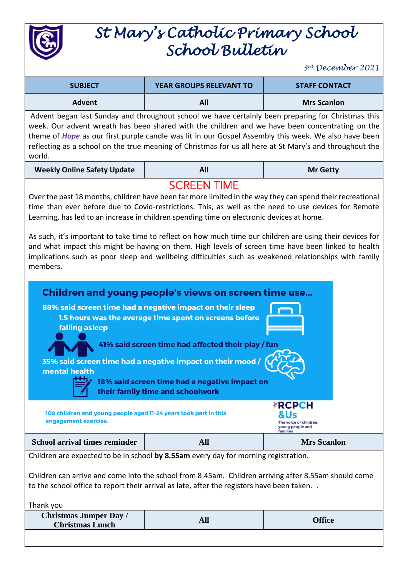

## *St Mary's Catholic Primary School School Bulletin*

*3 rd December 2021*

| <b>SUBJECT</b>                                                                                                                                                                                                                                                                                                                                                                                                                            | <b>YEAR GROUPS RELEVANT TO</b> | <b>STAFF CONTACT</b> |
|-------------------------------------------------------------------------------------------------------------------------------------------------------------------------------------------------------------------------------------------------------------------------------------------------------------------------------------------------------------------------------------------------------------------------------------------|--------------------------------|----------------------|
| <b>Advent</b>                                                                                                                                                                                                                                                                                                                                                                                                                             | All                            | <b>Mrs Scanlon</b>   |
| Advent began last Sunday and throughout school we have certainly been preparing for Christmas this<br>week. Our advent wreath has been shared with the children and we have been concentrating on the<br>theme of <i>Hope</i> as our first purple candle was lit in our Gospel Assembly this week. We also have been<br>reflecting as a school on the true meaning of Christmas for us all here at St Mary's and throughout the<br>world. |                                |                      |

| <b>Weekly Online Safety Update</b> | All | <b>Mr Getty</b> |
|------------------------------------|-----|-----------------|
|                                    |     |                 |

## SCREEN TIME

Over the past 18 months, children have been far more limited in the way they can spend their recreational time than ever before due to Covid-restrictions. This, as well as the need to use devices for Remote Learning, has led to an increase in children spending time on electronic devices at home.

As such, it's important to take time to reflect on how much time our children are using their devices for and what impact this might be having on them. High levels of screen time have been linked to health implications such as poor sleep and wellbeing difficulties such as weakened relationships with family members.

| falling asleep<br>mental health                                                                                                                                                                   | Children and young people's views on screen time use<br>88% said screen time had a negative impact on their sleep<br>1.5 hours was the average time spent on screens before<br>41% said screen time had affected their play / fun<br>35% said screen time had a negative impact on their mood<br>18% said screen time had a negative impact on<br>their family time and schoolwork |                                                                                |  |
|---------------------------------------------------------------------------------------------------------------------------------------------------------------------------------------------------|------------------------------------------------------------------------------------------------------------------------------------------------------------------------------------------------------------------------------------------------------------------------------------------------------------------------------------------------------------------------------------|--------------------------------------------------------------------------------|--|
| 109 children and young people aged 11-24 years took part in this<br>engagement exercise.                                                                                                          |                                                                                                                                                                                                                                                                                                                                                                                    | <b>XRCPCH</b><br>&Us<br>The voice of children.<br>young people and<br>families |  |
| <b>School arrival times reminder</b>                                                                                                                                                              | <b>All</b>                                                                                                                                                                                                                                                                                                                                                                         | <b>Mrs Scanlon</b>                                                             |  |
| Children are expected to be in school by 8.55am every day for morning registration.                                                                                                               |                                                                                                                                                                                                                                                                                                                                                                                    |                                                                                |  |
| Children can arrive and come into the school from 8.45am. Children arriving after 8.55am should come<br>to the school office to report their arrival as late, after the registers have been taken |                                                                                                                                                                                                                                                                                                                                                                                    |                                                                                |  |
| Thank you                                                                                                                                                                                         |                                                                                                                                                                                                                                                                                                                                                                                    |                                                                                |  |

| .                                                       |               |
|---------------------------------------------------------|---------------|
| <b>Christmas Jumper Day /</b><br><b>Christmas Lunch</b> | <b>)ffice</b> |
|                                                         |               |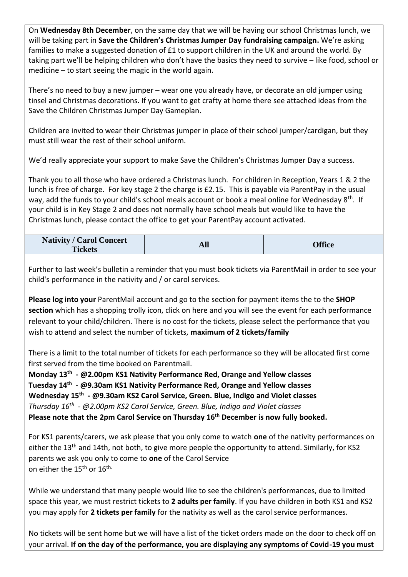On **Wednesday 8th December**, on the same day that we will be having our school Christmas lunch, we will be taking part in **Save the Children's Christmas Jumper Day fundraising campaign.** We're asking families to make a suggested donation of £1 to support children in the UK and around the world. By taking part we'll be helping children who don't have the basics they need to survive – like food, school or medicine – to start seeing the magic in the world again.

There's no need to buy a new jumper – wear one you already have, or decorate an old jumper using tinsel and Christmas decorations. If you want to get crafty at home there see attached ideas from the Save the Children Christmas Jumper Day Gameplan.

Children are invited to wear their Christmas jumper in place of their school jumper/cardigan, but they must still wear the rest of their school uniform.

We'd really appreciate your support to make Save the Children's Christmas Jumper Day a success.

Thank you to all those who have ordered a Christmas lunch. For children in Reception, Years 1 & 2 the lunch is free of charge. For key stage 2 the charge is £2.15. This is payable via ParentPay in the usual way, add the funds to your child's school meals account or book a meal online for Wednesday 8<sup>th</sup>. If your child is in Key Stage 2 and does not normally have school meals but would like to have the Christmas lunch, please contact the office to get your ParentPay account activated.

| <b>Nativity / Carol Concert</b> | All | <b>Office</b> |
|---------------------------------|-----|---------------|
| <b>Tickets</b>                  |     |               |

Further to last week's bulletin a reminder that you must book tickets via ParentMail in order to see your child's performance in the nativity and / or carol services.

**Please log into your** ParentMail account and go to the section for payment items the to the **SHOP section** which has a shopping trolly icon, click on here and you will see the event for each performance relevant to your child/children. There is no cost for the tickets, please select the performance that you wish to attend and select the number of tickets, **maximum of 2 tickets/family**

There is a limit to the total number of tickets for each performance so they will be allocated first come first served from the time booked on Parentmail.

**Monday 13th - @2.00pm KS1 Nativity Performance Red, Orange and Yellow classes Tuesday 14th - @9.30am KS1 Nativity Performance Red, Orange and Yellow classes Wednesday 15th - @9.30am KS2 Carol Service, Green. Blue, Indigo and Violet classes** *Thursday 16th - @2.00pm KS2 Carol Service, Green. Blue, Indigo and Violet classes* **Please note that the 2pm Carol Service on Thursday 16th December is now fully booked.**

For KS1 parents/carers, we ask please that you only come to watch **one** of the nativity performances on either the 13<sup>th</sup> and 14th, not both, to give more people the opportunity to attend. Similarly, for KS2 parents we ask you only to come to **one** of the Carol Service on either the 15<sup>th</sup> or 16<sup>th.</sup>

While we understand that many people would like to see the children's performances, due to limited space this year, we must restrict tickets to **2 adults per family**. If you have children in both KS1 and KS2 you may apply for **2 tickets per family** for the nativity as well as the carol service performances.

No tickets will be sent home but we will have a list of the ticket orders made on the door to check off on your arrival. **If on the day of the performance, you are displaying any symptoms of Covid-19 you must**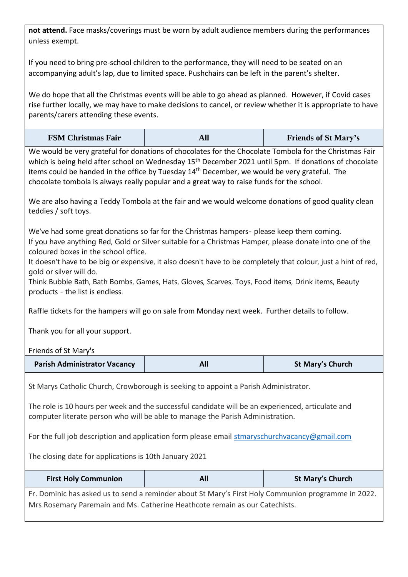**not attend.** Face masks/coverings must be worn by adult audience members during the performances unless exempt.

If you need to bring pre-school children to the performance, they will need to be seated on an accompanying adult's lap, due to limited space. Pushchairs can be left in the parent's shelter.

We do hope that all the Christmas events will be able to go ahead as planned. However, if Covid cases rise further locally, we may have to make decisions to cancel, or review whether it is appropriate to have parents/carers attending these events.

| <b>FSM Christmas Fair</b> |  | <b>Friends of St Mary's</b> |
|---------------------------|--|-----------------------------|
|---------------------------|--|-----------------------------|

We would be very grateful for donations of chocolates for the Chocolate Tombola for the Christmas Fair which is being held after school on Wednesday 15<sup>th</sup> December 2021 until 5pm. If donations of chocolate items could be handed in the office by Tuesday  $14<sup>th</sup>$  December, we would be very grateful. The chocolate tombola is always really popular and a great way to raise funds for the school.

We are also having a Teddy Tombola at the fair and we would welcome donations of good quality clean teddies / soft toys.

We've had some great donations so far for the Christmas hampers- please keep them coming. If you have anything Red, Gold or Silver suitable for a Christmas Hamper, please donate into one of the coloured boxes in the school office.

It doesn't have to be big or expensive, it also doesn't have to be completely that colour, just a hint of red, gold or silver will do.

Think Bubble Bath, Bath Bombs, Games, Hats, Gloves, Scarves, Toys, Food items, Drink items, Beauty products - the list is endless.

Raffle tickets for the hampers will go on sale from Monday next week. Further details to follow.

Thank you for all your support.

Friends of St Mary's

| <b>Parish Administrator Vacancy</b> | <b>All</b> | <b>St Mary's Church</b> |
|-------------------------------------|------------|-------------------------|
|-------------------------------------|------------|-------------------------|

St Marys Catholic Church, Crowborough is seeking to appoint a Parish Administrator.

The role is 10 hours per week and the successful candidate will be an experienced, articulate and computer literate person who will be able to manage the Parish Administration.

For the full job description and application form please email [stmaryschurchvacancy@gmail.com](mailto:stmarychurchvacancy@gmail.com)

The closing date for applications is 10th January 2021

| <b>First Holy Communion</b>                                                                         | All | <b>St Mary's Church</b> |
|-----------------------------------------------------------------------------------------------------|-----|-------------------------|
| Fr. Dominic has asked us to send a reminder about St Mary's First Holy Communion programme in 2022. |     |                         |
| Mrs Rosemary Paremain and Ms. Catherine Heathcote remain as our Catechists.                         |     |                         |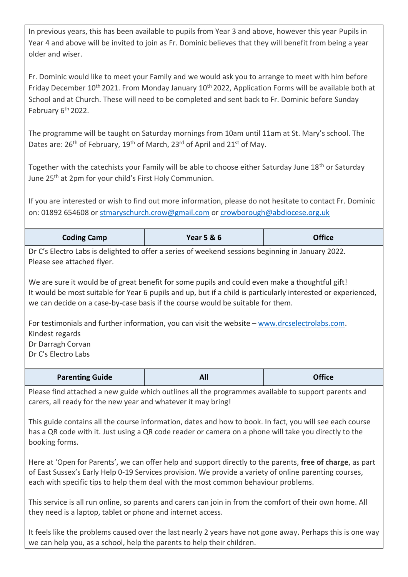In previous years, this has been available to pupils from Year 3 and above, however this year Pupils in Year 4 and above will be invited to join as Fr. Dominic believes that they will benefit from being a year older and wiser.

Fr. Dominic would like to meet your Family and we would ask you to arrange to meet with him before Friday December 10<sup>th</sup> 2021. From Monday January 10<sup>th</sup> 2022, Application Forms will be available both at School and at Church. These will need to be completed and sent back to Fr. Dominic before Sunday February 6<sup>th</sup> 2022.

The programme will be taught on Saturday mornings from 10am until 11am at St. Mary's school. The Dates are: 26<sup>th</sup> of February, 19<sup>th</sup> of March, 23<sup>rd</sup> of April and 21<sup>st</sup> of May.

Together with the catechists your Family will be able to choose either Saturday June 18<sup>th</sup> or Saturday June 25<sup>th</sup> at 2pm for your child's First Holy Communion.

If you are interested or wish to find out more information, please do not hesitate to contact Fr. Dominic on: 01892 654608 or [stmaryschurch.crow@gmail.com](mailto:stmaryschurch.crow@gmail.com) o[r crowborough@abdiocese.org.uk](mailto:crowborough@abdiocese.org.uk)

| <b>Coding Camp</b>                                                                                                                                                                                                                                                                                  | <b>Year 5 &amp; 6</b> | <b>Office</b> |  |
|-----------------------------------------------------------------------------------------------------------------------------------------------------------------------------------------------------------------------------------------------------------------------------------------------------|-----------------------|---------------|--|
| Dr C's Electro Labs is delighted to offer a series of weekend sessions beginning in January 2022.<br>Please see attached flyer.                                                                                                                                                                     |                       |               |  |
| We are sure it would be of great benefit for some pupils and could even make a thoughtful gift!<br>It would be most suitable for Year 6 pupils and up, but if a child is particularly interested or experienced,<br>we can decide on a case-by-case basis if the course would be suitable for them. |                       |               |  |
| For testimonials and further information, you can visit the website – www.drcselectrolabs.com.<br>Kindest regards<br>Dr Darragh Corvan<br>Dr C's Electro Labs                                                                                                                                       |                       |               |  |
| <b>Parenting Guide</b>                                                                                                                                                                                                                                                                              | All                   | <b>Office</b> |  |

Please find attached a new guide which outlines all the programmes available to support parents and carers, all ready for the new year and whatever it may bring!

This guide contains all the course information, dates and how to book. In fact, you will see each course has a QR code with it. Just using a QR code reader or camera on a phone will take you directly to the booking forms.

Here at 'Open for Parents', we can offer help and support directly to the parents, **free of charge**, as part of East Sussex's Early Help 0-19 Services provision. We provide a variety of online parenting courses, each with specific tips to help them deal with the most common behaviour problems.

This service is all run online, so parents and carers can join in from the comfort of their own home. All they need is a laptop, tablet or phone and internet access.

It feels like the problems caused over the last nearly 2 years have not gone away. Perhaps this is one way we can help you, as a school, help the parents to help their children.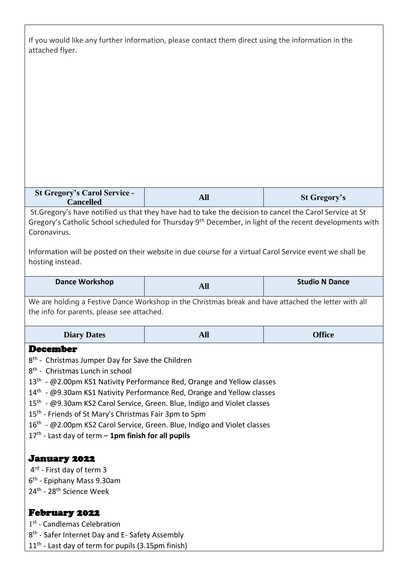| If you would like any further information, please contact them direct using the information in the<br>attached flyer.                                                                                                                                                                                                                                                                                                                                                                                                                                                                                        |                                                                                                                                                                                                                                 |                       |
|--------------------------------------------------------------------------------------------------------------------------------------------------------------------------------------------------------------------------------------------------------------------------------------------------------------------------------------------------------------------------------------------------------------------------------------------------------------------------------------------------------------------------------------------------------------------------------------------------------------|---------------------------------------------------------------------------------------------------------------------------------------------------------------------------------------------------------------------------------|-----------------------|
|                                                                                                                                                                                                                                                                                                                                                                                                                                                                                                                                                                                                              |                                                                                                                                                                                                                                 |                       |
|                                                                                                                                                                                                                                                                                                                                                                                                                                                                                                                                                                                                              |                                                                                                                                                                                                                                 |                       |
|                                                                                                                                                                                                                                                                                                                                                                                                                                                                                                                                                                                                              |                                                                                                                                                                                                                                 |                       |
|                                                                                                                                                                                                                                                                                                                                                                                                                                                                                                                                                                                                              |                                                                                                                                                                                                                                 |                       |
|                                                                                                                                                                                                                                                                                                                                                                                                                                                                                                                                                                                                              |                                                                                                                                                                                                                                 |                       |
|                                                                                                                                                                                                                                                                                                                                                                                                                                                                                                                                                                                                              |                                                                                                                                                                                                                                 |                       |
|                                                                                                                                                                                                                                                                                                                                                                                                                                                                                                                                                                                                              |                                                                                                                                                                                                                                 |                       |
| <b>St Gregory's Carol Service -</b><br><b>Cancelled</b>                                                                                                                                                                                                                                                                                                                                                                                                                                                                                                                                                      | <b>All</b>                                                                                                                                                                                                                      | <b>St Gregory's</b>   |
| Coronavirus.                                                                                                                                                                                                                                                                                                                                                                                                                                                                                                                                                                                                 | St. Gregory's have notified us that they have had to take the decision to cancel the Carol Service at St<br>Gregory's Catholic School scheduled for Thursday 9 <sup>th</sup> December, in light of the recent developments with |                       |
| hosting instead.                                                                                                                                                                                                                                                                                                                                                                                                                                                                                                                                                                                             | Information will be posted on their website in due course for a virtual Carol Service event we shall be                                                                                                                         |                       |
| <b>Dance Workshop</b>                                                                                                                                                                                                                                                                                                                                                                                                                                                                                                                                                                                        | <b>All</b>                                                                                                                                                                                                                      | <b>Studio N Dance</b> |
| We are holding a Festive Dance Workshop in the Christmas break and have attached the letter with all<br>the info for parents, please see attached.                                                                                                                                                                                                                                                                                                                                                                                                                                                           |                                                                                                                                                                                                                                 |                       |
| <b>Diary Dates</b>                                                                                                                                                                                                                                                                                                                                                                                                                                                                                                                                                                                           | <b>All</b>                                                                                                                                                                                                                      | <b>Office</b>         |
| <b>December</b><br>8 <sup>th</sup> - Christmas Jumper Day for Save the Children<br>8 <sup>th</sup> - Christmas Lunch in school<br>13 <sup>th</sup> - @2.00pm KS1 Nativity Performance Red, Orange and Yellow classes<br>14th - @9.30am KS1 Nativity Performance Red, Orange and Yellow classes<br>15 <sup>th</sup> - @9.30am KS2 Carol Service, Green. Blue, Indigo and Violet classes<br>15 <sup>th</sup> - Friends of St Mary's Christmas Fair 3pm to 5pm<br>16 <sup>th</sup> - @2.00pm KS2 Carol Service, Green. Blue, Indigo and Violet classes<br>$17th$ - Last day of term – 1pm finish for all pupils |                                                                                                                                                                                                                                 |                       |
| <b>January 2022</b><br>$4^{rd}$ - First day of term 3<br>6 <sup>th</sup> - Epiphany Mass 9.30am<br>24 <sup>th</sup> - 28 <sup>th</sup> Science Week                                                                                                                                                                                                                                                                                                                                                                                                                                                          |                                                                                                                                                                                                                                 |                       |
| <b>February 2022</b><br>1 <sup>st</sup> - Candlemas Celebration<br>8 <sup>th</sup> - Safer Internet Day and E- Safety Assembly<br>$11th$ - Last day of term for pupils (3.15pm finish)                                                                                                                                                                                                                                                                                                                                                                                                                       |                                                                                                                                                                                                                                 |                       |